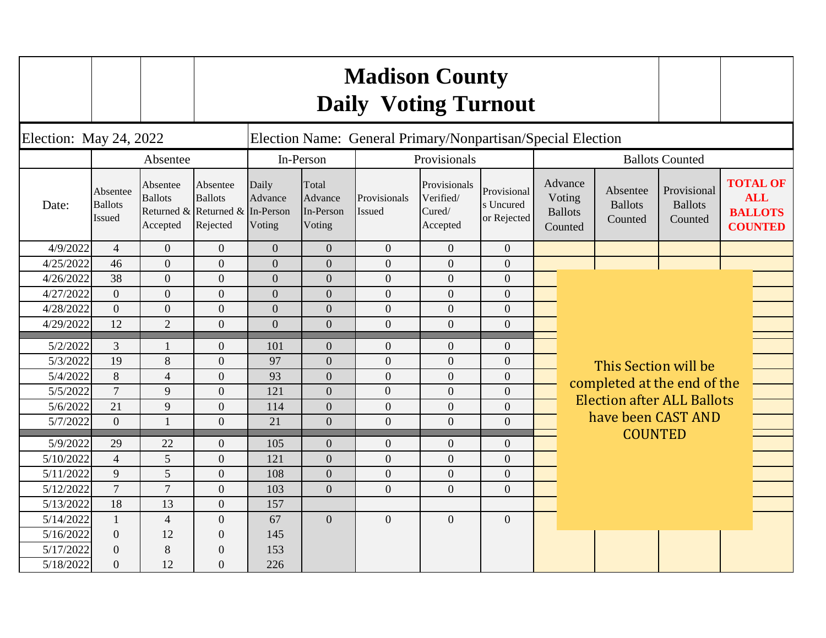|                        |                                      |                                        |                                                                           |                            |                                         | <b>Madison County</b><br><b>Daily Voting Turnout</b> |                                                 |                                         |  |                                                                                          |                                       |                                          |                                                                   |  |  |
|------------------------|--------------------------------------|----------------------------------------|---------------------------------------------------------------------------|----------------------------|-----------------------------------------|------------------------------------------------------|-------------------------------------------------|-----------------------------------------|--|------------------------------------------------------------------------------------------|---------------------------------------|------------------------------------------|-------------------------------------------------------------------|--|--|
| Election: May 24, 2022 |                                      |                                        | Election Name: General Primary/Nonpartisan/Special Election               |                            |                                         |                                                      |                                                 |                                         |  |                                                                                          |                                       |                                          |                                                                   |  |  |
|                        | Absentee                             |                                        |                                                                           |                            | In-Person                               |                                                      | Provisionals                                    |                                         |  |                                                                                          |                                       | <b>Ballots Counted</b>                   |                                                                   |  |  |
| Date:                  | Absentee<br><b>Ballots</b><br>Issued | Absentee<br><b>Ballots</b><br>Accepted | Absentee<br><b>Ballots</b><br>Returned & Returned & In-Person<br>Rejected | Daily<br>Advance<br>Voting | Total<br>Advance<br>In-Person<br>Voting | Provisionals<br>Issued                               | Provisionals<br>Verified/<br>Cured/<br>Accepted | Provisional<br>s Uncured<br>or Rejected |  | Advance<br>Voting<br><b>Ballots</b><br>Counted                                           | Absentee<br><b>Ballots</b><br>Counted | Provisional<br><b>Ballots</b><br>Counted | <b>TOTAL OF</b><br><b>ALL</b><br><b>BALLOTS</b><br><b>COUNTED</b> |  |  |
| 4/9/2022               | $\overline{4}$                       | $\overline{0}$                         | $\overline{0}$                                                            | $\overline{0}$             | $\overline{0}$                          | $\overline{0}$                                       | $\overline{0}$                                  | $\overline{0}$                          |  |                                                                                          |                                       |                                          |                                                                   |  |  |
| 4/25/2022              | 46                                   | $\overline{0}$                         | $\overline{0}$                                                            | $\mathbf{0}$               | $\overline{0}$                          | $\overline{0}$                                       | $\overline{0}$                                  | $\overline{0}$                          |  |                                                                                          |                                       |                                          |                                                                   |  |  |
| 4/26/2022              | 38                                   | $\mathbf{0}$                           | $\overline{0}$                                                            | $\mathbf{0}$               | $\overline{0}$                          | $\boldsymbol{0}$                                     | $\overline{0}$                                  | $\overline{0}$                          |  |                                                                                          |                                       |                                          |                                                                   |  |  |
| 4/27/2022              | $\overline{0}$                       | $\overline{0}$                         | $\overline{0}$                                                            | $\mathbf{0}$               | $\overline{0}$                          | $\overline{0}$                                       | $\overline{0}$                                  | $\overline{0}$                          |  |                                                                                          |                                       |                                          |                                                                   |  |  |
| 4/28/2022              | $\overline{0}$                       | $\overline{0}$                         | $\theta$                                                                  | $\overline{0}$             | $\overline{0}$                          | $\overline{0}$                                       | $\overline{0}$                                  | $\overline{0}$                          |  |                                                                                          |                                       |                                          |                                                                   |  |  |
| 4/29/2022              | 12                                   | $\overline{2}$                         | $\overline{0}$                                                            | $\overline{0}$             | $\overline{0}$                          | $\overline{0}$                                       | $\overline{0}$                                  | $\overline{0}$                          |  |                                                                                          |                                       |                                          |                                                                   |  |  |
| 5/2/2022               | 3                                    | $\mathbf{1}$                           | $\mathbf{0}$                                                              | 101                        | $\overline{0}$                          | $\mathbf{0}$                                         | $\Omega$                                        | $\overline{0}$                          |  |                                                                                          |                                       |                                          |                                                                   |  |  |
| 5/3/2022               | 19                                   | 8                                      | $\overline{0}$                                                            | 97                         | $\overline{0}$                          | $\overline{0}$                                       | $\overline{0}$                                  | $\overline{0}$                          |  | This Section will be<br>completed at the end of the<br><b>Election after ALL Ballots</b> |                                       |                                          |                                                                   |  |  |
| 5/4/2022               | 8                                    | $\overline{4}$                         | $\mathbf{0}$                                                              | 93                         | $\overline{0}$                          | $\overline{0}$                                       | $\overline{0}$                                  | $\overline{0}$                          |  |                                                                                          |                                       |                                          |                                                                   |  |  |
| 5/5/2022               | $\overline{7}$                       | 9                                      | $\overline{0}$                                                            | 121                        | $\overline{0}$                          | $\overline{0}$                                       | $\overline{0}$                                  | $\overline{0}$                          |  |                                                                                          |                                       |                                          |                                                                   |  |  |
| 5/6/2022               | 21                                   | 9                                      | $\overline{0}$                                                            | 114                        | $\overline{0}$                          | $\overline{0}$                                       | $\overline{0}$                                  | $\overline{0}$                          |  |                                                                                          |                                       |                                          |                                                                   |  |  |
| 5/7/2022               | $\theta$                             | $\mathbf{1}$                           | $\overline{0}$                                                            | 21                         | $\overline{0}$                          | $\overline{0}$                                       | $\overline{0}$                                  | $\overline{0}$                          |  |                                                                                          | have been CAST AND                    |                                          |                                                                   |  |  |
| 5/9/2022               | 29                                   | 22                                     | $\mathbf{0}$                                                              | 105                        | $\overline{0}$                          | $\overline{0}$                                       | $\overline{0}$                                  | $\overline{0}$                          |  |                                                                                          | <b>COUNTED</b>                        |                                          |                                                                   |  |  |
| 5/10/2022              | $\overline{4}$                       | 5                                      | $\overline{0}$                                                            | 121                        | $\overline{0}$                          | $\overline{0}$                                       | $\overline{0}$                                  | $\overline{0}$                          |  |                                                                                          |                                       |                                          |                                                                   |  |  |
| 5/11/2022              | 9                                    | 5                                      | $\overline{0}$                                                            | 108                        | $\overline{0}$                          | $\overline{0}$                                       | $\overline{0}$                                  | $\overline{0}$                          |  |                                                                                          |                                       |                                          |                                                                   |  |  |
| 5/12/2022              | $\overline{7}$                       | $\overline{7}$                         | $\overline{0}$                                                            | 103                        | $\overline{0}$                          | $\theta$                                             | $\theta$                                        | $\overline{0}$                          |  |                                                                                          |                                       |                                          |                                                                   |  |  |
| 5/13/2022              | 18                                   | 13                                     | $\overline{0}$                                                            | 157                        |                                         |                                                      |                                                 |                                         |  |                                                                                          |                                       |                                          |                                                                   |  |  |
| 5/14/2022              | $\mathbf{1}$                         | $\overline{4}$                         | $\overline{0}$                                                            | 67                         | $\overline{0}$                          | $\overline{0}$                                       | $\overline{0}$                                  | $\overline{0}$                          |  |                                                                                          |                                       |                                          |                                                                   |  |  |
| 5/16/2022              | $\overline{0}$                       | 12                                     | $\Omega$                                                                  | 145                        |                                         |                                                      |                                                 |                                         |  |                                                                                          |                                       |                                          |                                                                   |  |  |
| 5/17/2022              | $\overline{0}$                       | 8                                      | $\boldsymbol{0}$                                                          | 153                        |                                         |                                                      |                                                 |                                         |  |                                                                                          |                                       |                                          |                                                                   |  |  |
| 5/18/2022              | $\Omega$                             | 12                                     | $\Omega$                                                                  | 226                        |                                         |                                                      |                                                 |                                         |  |                                                                                          |                                       |                                          |                                                                   |  |  |